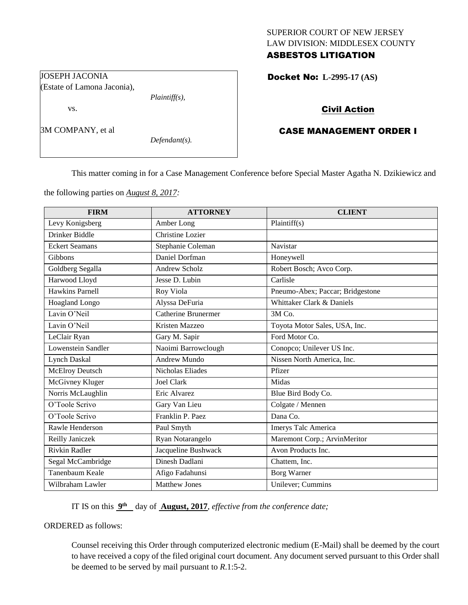## SUPERIOR COURT OF NEW JERSEY LAW DIVISION: MIDDLESEX COUNTY ASBESTOS LITIGATION

Docket No: **L-2995-17 (AS)** 

# Civil Action

# CASE MANAGEMENT ORDER I

This matter coming in for a Case Management Conference before Special Master Agatha N. Dzikiewicz and

the following parties on *August 8, 2017:*

| <b>FIRM</b>            | <b>ATTORNEY</b>            | <b>CLIENT</b>                    |
|------------------------|----------------------------|----------------------------------|
| Levy Konigsberg        | Amber Long                 | Plaintiff(s)                     |
| Drinker Biddle         | Christine Lozier           |                                  |
| <b>Eckert Seamans</b>  | Stephanie Coleman          | Navistar                         |
| Gibbons                | Daniel Dorfman             | Honeywell                        |
| Goldberg Segalla       | <b>Andrew Scholz</b>       | Robert Bosch; Avco Corp.         |
| Harwood Lloyd          | Jesse D. Lubin             | Carlisle                         |
| <b>Hawkins Parnell</b> | Roy Viola                  | Pneumo-Abex; Paccar; Bridgestone |
| <b>Hoagland Longo</b>  | Alyssa DeFuria             | Whittaker Clark & Daniels        |
| Lavin O'Neil           | <b>Catherine Brunermer</b> | 3M Co.                           |
| Lavin O'Neil           | Kristen Mazzeo             | Toyota Motor Sales, USA, Inc.    |
| LeClair Ryan           | Gary M. Sapir              | Ford Motor Co.                   |
| Lowenstein Sandler     | Naoimi Barrowclough        | Conopco; Unilever US Inc.        |
| Lynch Daskal           | <b>Andrew Mundo</b>        | Nissen North America, Inc.       |
| McElroy Deutsch        | <b>Nicholas Eliades</b>    | Pfizer                           |
| McGivney Kluger        | <b>Joel Clark</b>          | Midas                            |
| Norris McLaughlin      | Eric Alvarez               | Blue Bird Body Co.               |
| O'Toole Scrivo         | Gary Van Lieu              | Colgate / Mennen                 |
| O'Toole Scrivo         | Franklin P. Paez           | Dana Co.                         |
| Rawle Henderson        | Paul Smyth                 | Imerys Talc America              |
| Reilly Janiczek        | Ryan Notarangelo           | Maremont Corp.; ArvinMeritor     |
| <b>Rivkin Radler</b>   | Jacqueline Bushwack        | Avon Products Inc.               |
| Segal McCambridge      | Dinesh Dadlani             | Chattem, Inc.                    |
| Tanenbaum Keale        | Afigo Fadahunsi            | <b>Borg Warner</b>               |
| Wilbraham Lawler       | <b>Matthew Jones</b>       | Unilever; Cummins                |

IT IS on this  $9^{\text{th}}$  day of **August, 2017**, *effective from the conference date*;

ORDERED as follows:

Counsel receiving this Order through computerized electronic medium (E-Mail) shall be deemed by the court to have received a copy of the filed original court document. Any document served pursuant to this Order shall be deemed to be served by mail pursuant to *R*.1:5-2.

JOSEPH JACONIA (Estate of Lamona Jaconia),

vs.

3M COMPANY, et al

*Defendant(s).*

*Plaintiff(s),*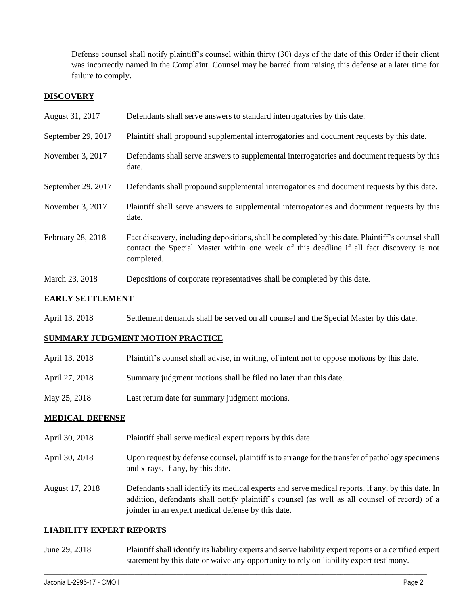Defense counsel shall notify plaintiff's counsel within thirty (30) days of the date of this Order if their client was incorrectly named in the Complaint. Counsel may be barred from raising this defense at a later time for failure to comply.

## **DISCOVERY**

| August 31, 2017    | Defendants shall serve answers to standard interrogatories by this date.                                                                                                                                    |
|--------------------|-------------------------------------------------------------------------------------------------------------------------------------------------------------------------------------------------------------|
| September 29, 2017 | Plaintiff shall propound supplemental interrogatories and document requests by this date.                                                                                                                   |
| November 3, 2017   | Defendants shall serve answers to supplemental interrogatories and document requests by this<br>date.                                                                                                       |
| September 29, 2017 | Defendants shall propound supplemental interrogatories and document requests by this date.                                                                                                                  |
| November 3, 2017   | Plaintiff shall serve answers to supplemental interrogatories and document requests by this<br>date.                                                                                                        |
| February 28, 2018  | Fact discovery, including depositions, shall be completed by this date. Plaintiff's counsel shall<br>contact the Special Master within one week of this deadline if all fact discovery is not<br>completed. |
| March 23, 2018     | Depositions of corporate representatives shall be completed by this date.                                                                                                                                   |

## **EARLY SETTLEMENT**

April 13, 2018 Settlement demands shall be served on all counsel and the Special Master by this date.

## **SUMMARY JUDGMENT MOTION PRACTICE**

- April 13, 2018 Plaintiff's counsel shall advise, in writing, of intent not to oppose motions by this date.
- April 27, 2018 Summary judgment motions shall be filed no later than this date.
- May 25, 2018 Last return date for summary judgment motions.

#### **MEDICAL DEFENSE**

- April 30, 2018 Plaintiff shall serve medical expert reports by this date.
- April 30, 2018 Upon request by defense counsel, plaintiff is to arrange for the transfer of pathology specimens and x-rays, if any, by this date.
- August 17, 2018 Defendants shall identify its medical experts and serve medical reports, if any, by this date. In addition, defendants shall notify plaintiff's counsel (as well as all counsel of record) of a joinder in an expert medical defense by this date.

## **LIABILITY EXPERT REPORTS**

June 29, 2018 Plaintiff shall identify its liability experts and serve liability expert reports or a certified expert statement by this date or waive any opportunity to rely on liability expert testimony.

 $\_$  ,  $\_$  ,  $\_$  ,  $\_$  ,  $\_$  ,  $\_$  ,  $\_$  ,  $\_$  ,  $\_$  ,  $\_$  ,  $\_$  ,  $\_$  ,  $\_$  ,  $\_$  ,  $\_$  ,  $\_$  ,  $\_$  ,  $\_$  ,  $\_$  ,  $\_$  ,  $\_$  ,  $\_$  ,  $\_$  ,  $\_$  ,  $\_$  ,  $\_$  ,  $\_$  ,  $\_$  ,  $\_$  ,  $\_$  ,  $\_$  ,  $\_$  ,  $\_$  ,  $\_$  ,  $\_$  ,  $\_$  ,  $\_$  ,